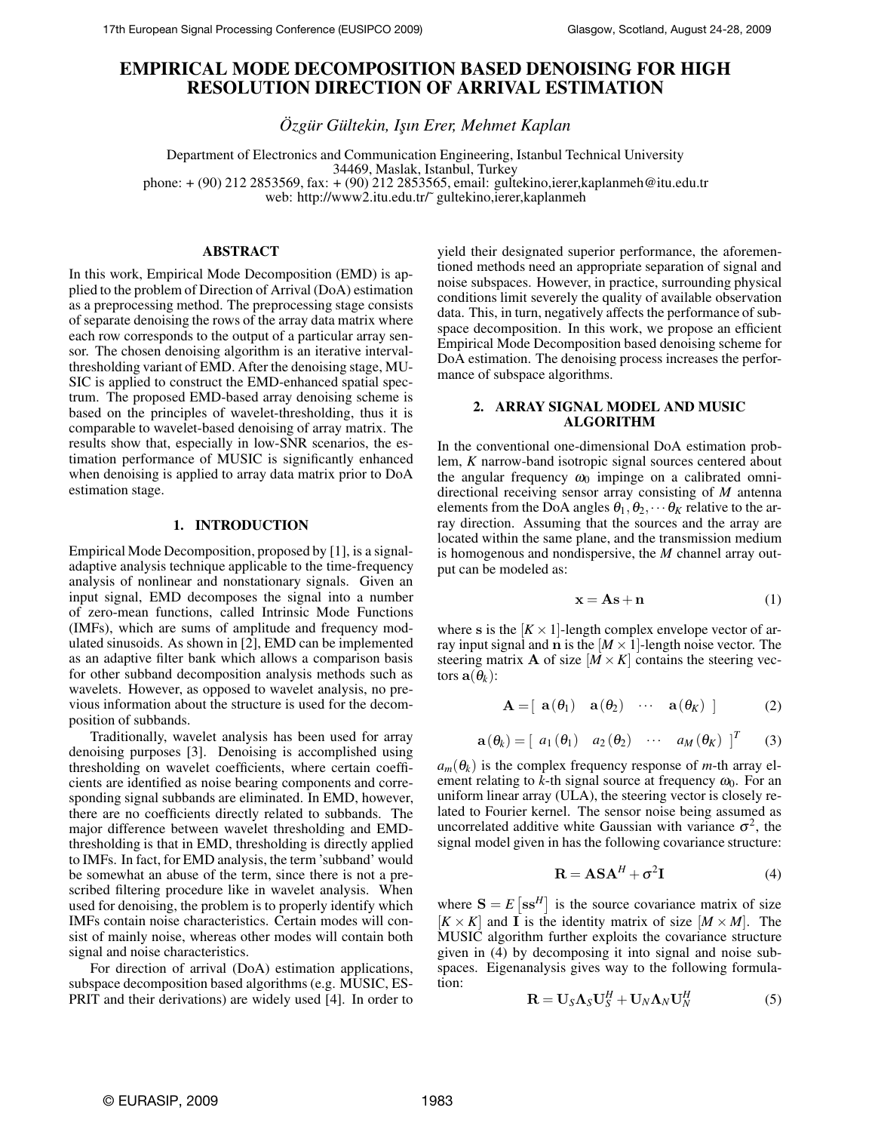# **EMPIRICAL MODE DECOMPOSITION BASED DENOISING FOR HIGH RESOLUTION DIRECTION OF ARRIVAL ESTIMATION**

*Özgür Gültekin, I¸sın Erer, Mehmet Kaplan*

Department of Electronics and Communication Engineering, Istanbul Technical University 34469, Maslak, Istanbul, Turkey phone: + (90) 212 2853569, fax: + (90) 212 2853565, email: gultekino,ierer,kaplanmeh@itu.edu.tr web: http://www2.itu.edu.tr/~ gultekino,ierer,kaplanmeh

## **ABSTRACT**

In this work, Empirical Mode Decomposition (EMD) is applied to the problem of Direction of Arrival (DoA) estimation as a preprocessing method. The preprocessing stage consists of separate denoising the rows of the array data matrix where each row corresponds to the output of a particular array sensor. The chosen denoising algorithm is an iterative intervalthresholding variant of EMD. After the denoising stage, MU-SIC is applied to construct the EMD-enhanced spatial spectrum. The proposed EMD-based array denoising scheme is based on the principles of wavelet-thresholding, thus it is comparable to wavelet-based denoising of array matrix. The results show that, especially in low-SNR scenarios, the estimation performance of MUSIC is significantly enhanced when denoising is applied to array data matrix prior to DoA estimation stage.

#### **1. INTRODUCTION**

Empirical Mode Decomposition, proposed by [1], is a signaladaptive analysis technique applicable to the time-frequency analysis of nonlinear and nonstationary signals. Given an input signal, EMD decomposes the signal into a number of zero-mean functions, called Intrinsic Mode Functions (IMFs), which are sums of amplitude and frequency modulated sinusoids. As shown in [2], EMD can be implemented as an adaptive filter bank which allows a comparison basis for other subband decomposition analysis methods such as wavelets. However, as opposed to wavelet analysis, no previous information about the structure is used for the decomposition of subbands.

Traditionally, wavelet analysis has been used for array denoising purposes [3]. Denoising is accomplished using thresholding on wavelet coefficients, where certain coefficients are identified as noise bearing components and corresponding signal subbands are eliminated. In EMD, however, there are no coefficients directly related to subbands. The major difference between wavelet thresholding and EMDthresholding is that in EMD, thresholding is directly applied to IMFs. In fact, for EMD analysis, the term 'subband' would be somewhat an abuse of the term, since there is not a prescribed filtering procedure like in wavelet analysis. When used for denoising, the problem is to properly identify which IMFs contain noise characteristics. Certain modes will consist of mainly noise, whereas other modes will contain both signal and noise characteristics.

For direction of arrival (DoA) estimation applications, subspace decomposition based algorithms (e.g. MUSIC, ES-PRIT and their derivations) are widely used [4]. In order to yield their designated superior performance, the aforementioned methods need an appropriate separation of signal and noise subspaces. However, in practice, surrounding physical conditions limit severely the quality of available observation data. This, in turn, negatively affects the performance of subspace decomposition. In this work, we propose an efficient Empirical Mode Decomposition based denoising scheme for DoA estimation. The denoising process increases the performance of subspace algorithms.

#### **2. ARRAY SIGNAL MODEL AND MUSIC ALGORITHM**

In the conventional one-dimensional DoA estimation problem, *K* narrow-band isotropic signal sources centered about the angular frequency  $\omega_0$  impinge on a calibrated omnidirectional receiving sensor array consisting of *M* antenna elements from the DoA angles  $\theta_1, \theta_2, \dots \theta_K$  relative to the array direction. Assuming that the sources and the array are located within the same plane, and the transmission medium is homogenous and nondispersive, the *M* channel array output can be modeled as:

$$
\mathbf{x} = \mathbf{A}\mathbf{s} + \mathbf{n} \tag{1}
$$

where **s** is the  $[K \times 1]$ -length complex envelope vector of array input signal and **n** is the  $[M \times 1]$ -length noise vector. The steering matrix **A** of size  $[M \times K]$  contains the steering vectors  $\mathbf{a}(\theta_k)$ :

$$
\mathbf{A} = [\mathbf{a}(\theta_1) \quad \mathbf{a}(\theta_2) \quad \cdots \quad \mathbf{a}(\theta_K)] \tag{2}
$$

$$
\mathbf{a}(\theta_k) = \begin{bmatrix} a_1(\theta_1) & a_2(\theta_2) & \cdots & a_M(\theta_K) \end{bmatrix}^T \qquad (3)
$$

 $a_m(\theta_k)$  is the complex frequency response of *m*-th array element relating to  $k$ -th signal source at frequency  $\omega_0$ . For an uniform linear array (ULA), the steering vector is closely related to Fourier kernel. The sensor noise being assumed as uncorrelated additive white Gaussian with variance  $\sigma^2$ , the signal model given in has the following covariance structure:

$$
\mathbf{R} = \mathbf{ASA}^H + \sigma^2 \mathbf{I}
$$
 (4)

where  $S = E$   $\left[ s s^H \right]$  is the source covariance matrix of size  $[K \times K]$  and **I** is the identity matrix of size  $[M \times M]$ . The MUSIC algorithm further exploits the covariance structure given in (4) by decomposing it into signal and noise subspaces. Eigenanalysis gives way to the following formulation:

$$
\mathbf{R} = \mathbf{U}_S \mathbf{\Lambda}_S \mathbf{U}_S^H + \mathbf{U}_N \mathbf{\Lambda}_N \mathbf{U}_N^H
$$
 (5)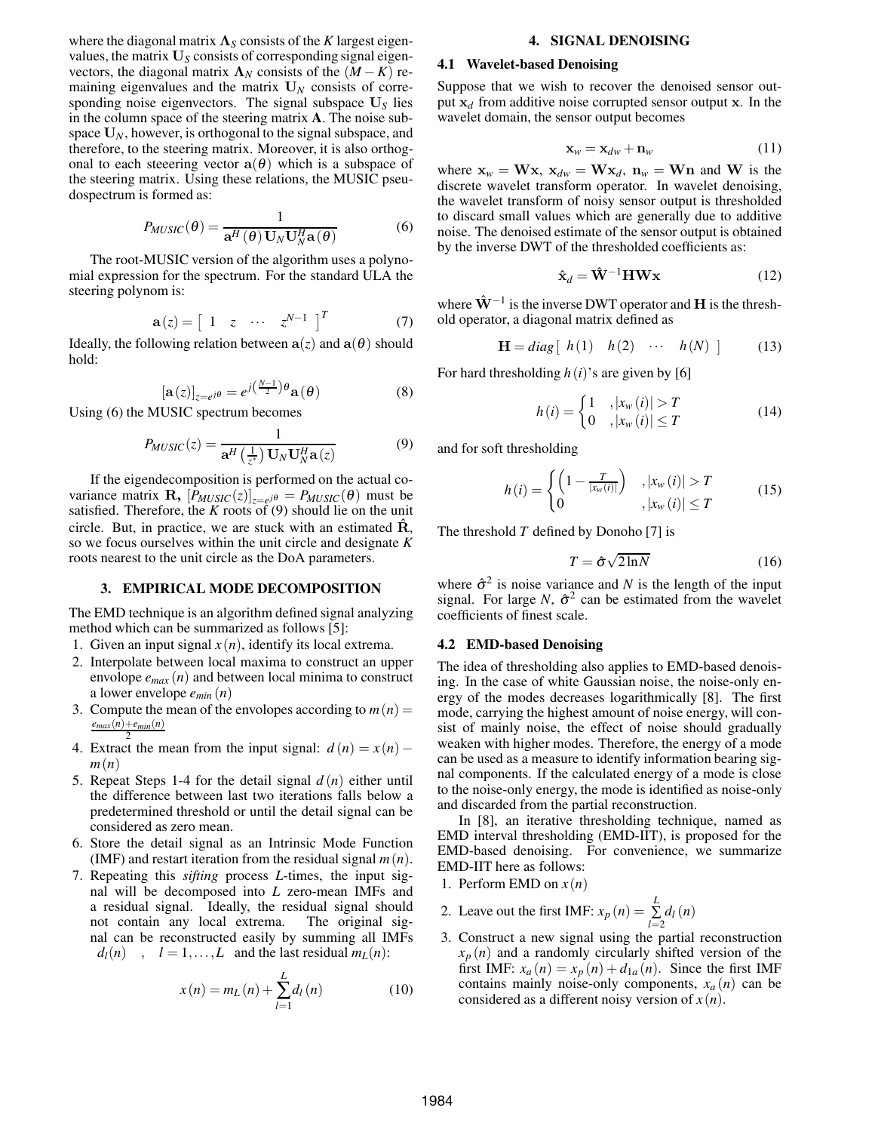where the diagonal matrix  $\Lambda_S$  consists of the *K* largest eigenvalues, the matrix  $U<sub>S</sub>$  consists of corresponding signal eigenvectors, the diagonal matrix  $\Lambda_N$  consists of the  $(M - K)$  remaining eigenvalues and the matrix  $U_N$  consists of corresponding noise eigenvectors. The signal subspace **U***<sup>S</sup>* lies in the column space of the steering matrix **A**. The noise subspace **U***N*, however, is orthogonal to the signal subspace, and therefore, to the steering matrix. Moreover, it is also orthogonal to each steeering vector  $\mathbf{a}(\theta)$  which is a subspace of the steering matrix. Using these relations, the MUSIC pseudospectrum is formed as:

$$
P_{MUSIC}(\theta) = \frac{1}{\mathbf{a}^H(\theta) \mathbf{U}_N \mathbf{U}_N^H \mathbf{a}(\theta)}
$$
(6)

The root-MUSIC version of the algorithm uses a polynomial expression for the spectrum. For the standard ULA the steering polynom is:

$$
\mathbf{a}(z) = \begin{bmatrix} 1 & z & \cdots & z^{N-1} \end{bmatrix}^T \tag{7}
$$

Ideally, the following relation between  $a(z)$  and  $a(\theta)$  should hold:

$$
\left[\mathbf{a}(z)\right]_{z=e^{j\theta}} = e^{j\left(\frac{N-1}{2}\right)\theta} \mathbf{a}(\theta) \tag{8}
$$

Using (6) the MUSIC spectrum becomes

$$
P_{MUSIC}(z) = \frac{1}{\mathbf{a}^H \left(\frac{1}{z^*}\right) \mathbf{U}_N \mathbf{U}_N^H \mathbf{a}(z)}
$$
(9)

If the eigendecomposition is performed on the actual covariance matrix **R**,  $[P_{MUSIC}(z)]_{z=e^{j\theta}} = P_{MUSIC}(\theta)$  must be satisfied. Therefore, the  $K$  roots of  $(9)$  should lie on the unit circle. But, in practice, we are stuck with an estimated  $\dot{\mathbf{R}}$ , so we focus ourselves within the unit circle and designate *K* roots nearest to the unit circle as the DoA parameters.

# **3. EMPIRICAL MODE DECOMPOSITION**

The EMD technique is an algorithm defined signal analyzing method which can be summarized as follows [5]:

- 1. Given an input signal  $x(n)$ , identify its local extrema.
- 2. Interpolate between local maxima to construct an upper envolope *emax* (*n*) and between local minima to construct a lower envelope *emin* (*n*)
- 3. Compute the mean of the envolopes according to  $m(n) =$ *emax*(*n*)+*emin*(*n*)
- 4. Extract the mean from the input signal:  $d(n) = x(n)$ *m*(*n*)
- 5. Repeat Steps 1-4 for the detail signal *d* (*n*) either until the difference between last two iterations falls below a predetermined threshold or until the detail signal can be considered as zero mean.
- 6. Store the detail signal as an Intrinsic Mode Function (IMF) and restart iteration from the residual signal *m*(*n*).
- 7. Repeating this *sifting* process *L*-times, the input signal will be decomposed into *L* zero-mean IMFs and a residual signal. Ideally, the residual signal should not contain any local extrema. The original signal can be reconstructed easily by summing all IMFs  $d_l(n)$ ,  $l = 1, \ldots, L$  and the last residual  $m_l(n)$ :

$$
x(n) = m_L(n) + \sum_{l=1}^{L} d_l(n)
$$
 (10)

#### **4. SIGNAL DENOISING**

#### **4.1 Wavelet-based Denoising**

Suppose that we wish to recover the denoised sensor output  $x_d$  from additive noise corrupted sensor output  $x$ . In the wavelet domain, the sensor output becomes

$$
\mathbf{x}_w = \mathbf{x}_{dw} + \mathbf{n}_w \tag{11}
$$

where  $\mathbf{x}_w = \mathbf{W}\mathbf{x}$ ,  $\mathbf{x}_{dw} = \mathbf{W}\mathbf{x}_d$ ,  $\mathbf{n}_w = \mathbf{W}\mathbf{n}$  and  $\mathbf{W}$  is the discrete wavelet transform operator. In wavelet denoising, the wavelet transform of noisy sensor output is thresholded to discard small values which are generally due to additive noise. The denoised estimate of the sensor output is obtained by the inverse DWT of the thresholded coefficients as:

$$
\hat{\mathbf{x}}_d = \hat{\mathbf{W}}^{-1} \mathbf{H} \mathbf{W} \mathbf{x}
$$
 (12)

where  $\hat{W}^{-1}$  is the inverse DWT operator and **H** is the threshold operator, a diagonal matrix defined as

$$
\mathbf{H} = diag[h(1) \quad h(2) \quad \cdots \quad h(N)] \tag{13}
$$

For hard thresholding *h*(*i*)'s are given by [6]

$$
h(i) = \begin{cases} 1 & , |x_w(i)| > T \\ 0 & , |x_w(i)| \le T \end{cases}
$$
 (14)

and for soft thresholding

$$
h(i) = \begin{cases} \left(1 - \frac{T}{|x_w(i)|}\right) & , |x_w(i)| > T\\ 0 & , |x_w(i)| \le T \end{cases}
$$
 (15)

The threshold *T* defined by Donoho [7] is

$$
T = \hat{\sigma}\sqrt{2\ln N} \tag{16}
$$

where  $\hat{\sigma}^2$  is noise variance and *N* is the length of the input signal. For large *N*,  $\hat{\sigma}^2$  can be estimated from the wavelet coefficients of finest scale.

### **4.2 EMD-based Denoising**

The idea of thresholding also applies to EMD-based denoising. In the case of white Gaussian noise, the noise-only energy of the modes decreases logarithmically [8]. The first mode, carrying the highest amount of noise energy, will consist of mainly noise, the effect of noise should gradually weaken with higher modes. Therefore, the energy of a mode can be used as a measure to identify information bearing signal components. If the calculated energy of a mode is close to the noise-only energy, the mode is identified as noise-only and discarded from the partial reconstruction.

In [8], an iterative thresholding technique, named as EMD interval thresholding (EMD-IIT), is proposed for the EMD-based denoising. For convenience, we summarize EMD-IIT here as follows:

- 1. Perform EMD on  $x(n)$
- 2. Leave out the first IMF:  $x_p(n) = \sum_{l=2}^{L} d_l(n)$
- 3. Construct a new signal using the partial reconstruction  $x_p(n)$  and a randomly circularly shifted version of the first IMF:  $x_a(n) = x_p(n) + d_{1a}(n)$ . Since the first IMF contains mainly noise-only components,  $x_a(n)$  can be considered as a different noisy version of  $x(n)$ .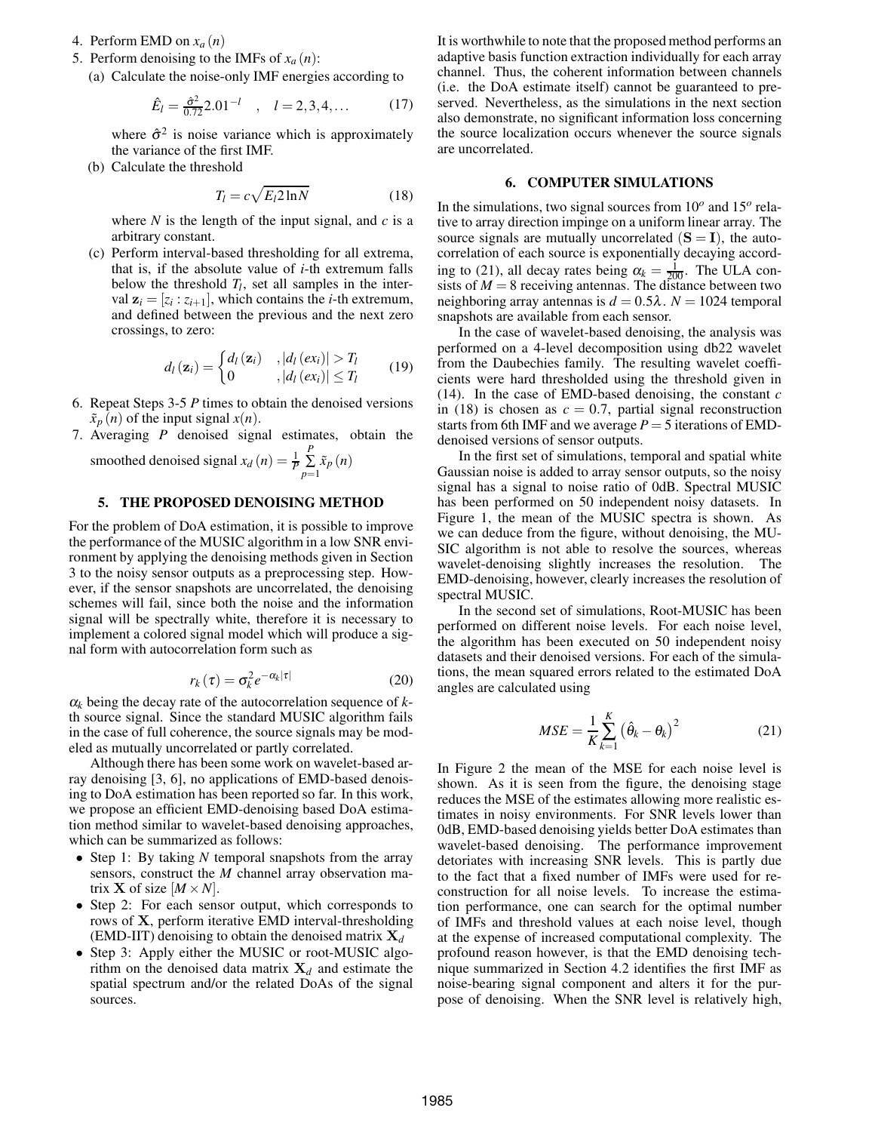- 4. Perform EMD on *xa* (*n*)
- 5. Perform denoising to the IMFs of  $x_a(n)$ :
	- (a) Calculate the noise-only IMF energies according to

$$
\hat{E}_l = \frac{\hat{\sigma}^2}{0.72} 2.01^{-l} \quad , \quad l = 2, 3, 4, \dots \tag{17}
$$

where  $\hat{\sigma}^2$  is noise variance which is approximately the variance of the first IMF.

(b) Calculate the threshold

$$
T_l = c\sqrt{E_l 2\ln N} \tag{18}
$$

where  $N$  is the length of the input signal, and  $c$  is a arbitrary constant.

(c) Perform interval-based thresholding for all extrema, that is, if the absolute value of *i*-th extremum falls below the threshold  $T_l$ , set all samples in the interval  $z_i = [z_i : z_{i+1}]$ , which contains the *i*-th extremum, and defined between the previous and the next zero crossings, to zero:

$$
d_{l}(\mathbf{z}_{i}) = \begin{cases} d_{l}(\mathbf{z}_{i}) & , |d_{l}(ex_{i})| > T_{l} \\ 0 & , |d_{l}(ex_{i})| \le T_{l} \end{cases}
$$
 (19)

- 6. Repeat Steps 3-5 *P* times to obtain the denoised versions  $\tilde{x}_p(n)$  of the input signal  $x(n)$ .
- 7. Averaging *P* denoised signal estimates, obtain the smoothed denoised signal  $x_d(n) = \frac{1}{p} \sum_{i=1}^{p} x_p(n)$

moothed qenoiseq signal 
$$
x_d(n) = \frac{1}{p} \sum_{p=1}^{n} x_p(n)
$$

# **5. THE PROPOSED DENOISING METHOD**

For the problem of DoA estimation, it is possible to improve the performance of the MUSIC algorithm in a low SNR environment by applying the denoising methods given in Section 3 to the noisy sensor outputs as a preprocessing step. However, if the sensor snapshots are uncorrelated, the denoising schemes will fail, since both the noise and the information signal will be spectrally white, therefore it is necessary to implement a colored signal model which will produce a signal form with autocorrelation form such as

$$
r_k(\tau) = \sigma_k^2 e^{-\alpha_k |\tau|} \tag{20}
$$

<sup>α</sup>*<sup>k</sup>* being the decay rate of the autocorrelation sequence of *k*th source signal. Since the standard MUSIC algorithm fails in the case of full coherence, the source signals may be modeled as mutually uncorrelated or partly correlated.

Although there has been some work on wavelet-based array denoising [3, 6], no applications of EMD-based denoising to DoA estimation has been reported so far. In this work, we propose an efficient EMD-denoising based DoA estimation method similar to wavelet-based denoising approaches, which can be summarized as follows:

- Step 1: By taking *N* temporal snapshots from the array sensors, construct the *M* channel array observation matrix **X** of size  $[M \times N]$ .
- Step 2: For each sensor output, which corresponds to rows of **X**, perform iterative EMD interval-thresholding (EMD-IIT) denoising to obtain the denoised matrix  $X_d$
- Step 3: Apply either the MUSIC or root-MUSIC algorithm on the denoised data matrix  $X_d$  and estimate the spatial spectrum and/or the related DoAs of the signal sources.

It is worthwhile to note that the proposed method performs an adaptive basis function extraction individually for each array channel. Thus, the coherent information between channels (i.e. the DoA estimate itself) cannot be guaranteed to preserved. Nevertheless, as the simulations in the next section also demonstrate, no significant information loss concerning the source localization occurs whenever the source signals are uncorrelated.

#### **6. COMPUTER SIMULATIONS**

In the simulations, two signal sources from 10*<sup>o</sup>* and 15*<sup>o</sup>* relative to array direction impinge on a uniform linear array. The source signals are mutually uncorrelated  $(S = I)$ , the autocorrelation of each source is exponentially decaying according to (21), all decay rates being  $\alpha_k = \frac{1}{200}$ . The ULA consists of  $M = 8$  receiving antennas. The distance between two neighboring array antennas is  $d = 0.5\lambda$ .  $N = 1024$  temporal snapshots are available from each sensor.

In the case of wavelet-based denoising, the analysis was performed on a 4-level decomposition using db22 wavelet from the Daubechies family. The resulting wavelet coefficients were hard thresholded using the threshold given in (14). In the case of EMD-based denoising, the constant *c* in (18) is chosen as  $c = 0.7$ , partial signal reconstruction starts from 6th IMF and we average  $P = 5$  iterations of EMDdenoised versions of sensor outputs.

In the first set of simulations, temporal and spatial white Gaussian noise is added to array sensor outputs, so the noisy signal has a signal to noise ratio of 0dB. Spectral MUSIC has been performed on 50 independent noisy datasets. In Figure 1, the mean of the MUSIC spectra is shown. As we can deduce from the figure, without denoising, the MU-SIC algorithm is not able to resolve the sources, whereas wavelet-denoising slightly increases the resolution. The EMD-denoising, however, clearly increases the resolution of spectral MUSIC.

In the second set of simulations, Root-MUSIC has been performed on different noise levels. For each noise level, the algorithm has been executed on 50 independent noisy datasets and their denoised versions. For each of the simulations, the mean squared errors related to the estimated DoA angles are calculated using

$$
MSE = \frac{1}{K} \sum_{k=1}^{K} (\hat{\theta}_k - \theta_k)^2
$$
 (21)

In Figure 2 the mean of the MSE for each noise level is shown. As it is seen from the figure, the denoising stage reduces the MSE of the estimates allowing more realistic estimates in noisy environments. For SNR levels lower than 0dB, EMD-based denoising yields better DoA estimates than wavelet-based denoising. The performance improvement detoriates with increasing SNR levels. This is partly due to the fact that a fixed number of IMFs were used for reconstruction for all noise levels. To increase the estimation performance, one can search for the optimal number of IMFs and threshold values at each noise level, though at the expense of increased computational complexity. The profound reason however, is that the EMD denoising technique summarized in Section 4.2 identifies the first IMF as noise-bearing signal component and alters it for the purpose of denoising. When the SNR level is relatively high,